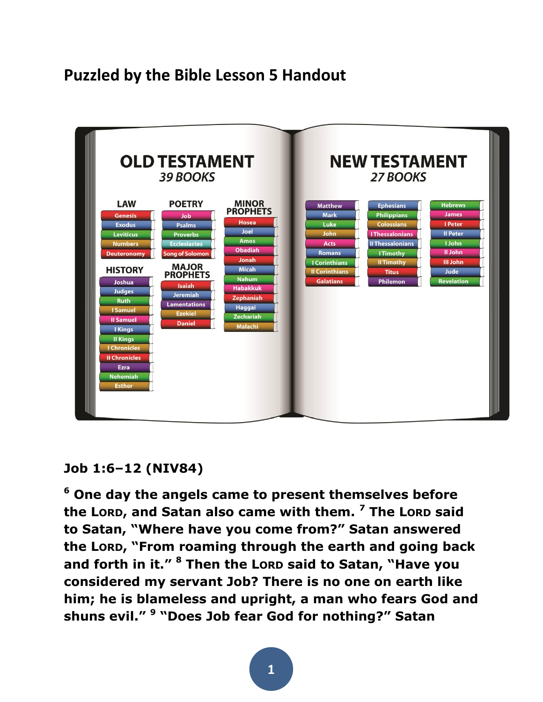# **Puzzled by the Bible Lesson 5 Handout**



#### **Job 1:6–12 (NIV84)**

**<sup>6</sup> One day the angels came to present themselves before the LORD, and Satan also came with them. <sup>7</sup> The LORD said to Satan, "Where have you come from?" Satan answered the LORD, "From roaming through the earth and going back and forth in it." <sup>8</sup> Then the LORD said to Satan, "Have you considered my servant Job? There is no one on earth like him; he is blameless and upright, a man who fears God and shuns evil." <sup>9</sup> "Does Job fear God for nothing?" Satan**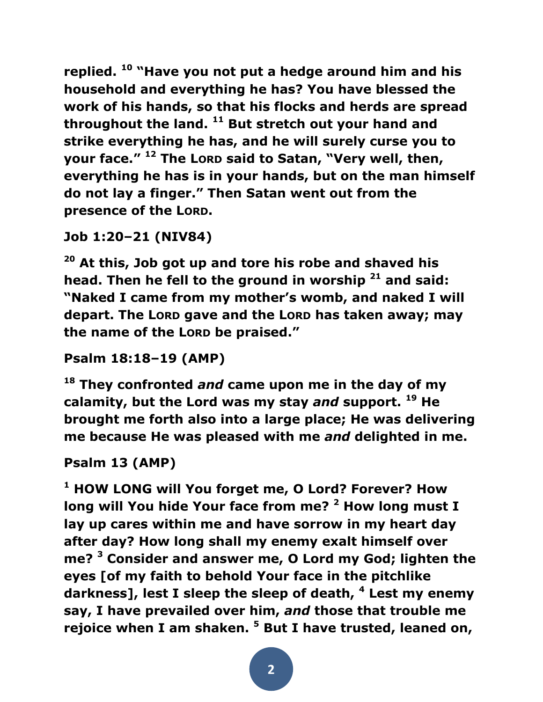**replied. <sup>10</sup> "Have you not put a hedge around him and his household and everything he has? You have blessed the work of his hands, so that his flocks and herds are spread throughout the land. <sup>11</sup> But stretch out your hand and strike everything he has, and he will surely curse you to your face." <sup>12</sup> The LORD said to Satan, "Very well, then, everything he has is in your hands, but on the man himself do not lay a finger." Then Satan went out from the presence of the LORD.** 

```
Job 1:20–21 (NIV84)
```
**<sup>20</sup> At this, Job got up and tore his robe and shaved his head. Then he fell to the ground in worship <sup>21</sup> and said: "Naked I came from my mother's womb, and naked I will depart. The LORD gave and the LORD has taken away; may the name of the LORD be praised."** 

```
Psalm 18:18–19 (AMP)
```
**<sup>18</sup> They confronted** *and* **came upon me in the day of my calamity, but the Lord was my stay** *and* **support. <sup>19</sup> He brought me forth also into a large place; He was delivering me because He was pleased with me** *and* **delighted in me.** 

```
Psalm 13 (AMP)
```
**<sup>1</sup> HOW LONG will You forget me, O Lord? Forever? How long will You hide Your face from me? <sup>2</sup> How long must I lay up cares within me and have sorrow in my heart day after day? How long shall my enemy exalt himself over me? <sup>3</sup> Consider and answer me, O Lord my God; lighten the eyes [of my faith to behold Your face in the pitchlike darkness], lest I sleep the sleep of death, <sup>4</sup> Lest my enemy say, I have prevailed over him,** *and* **those that trouble me rejoice when I am shaken. <sup>5</sup> But I have trusted, leaned on,**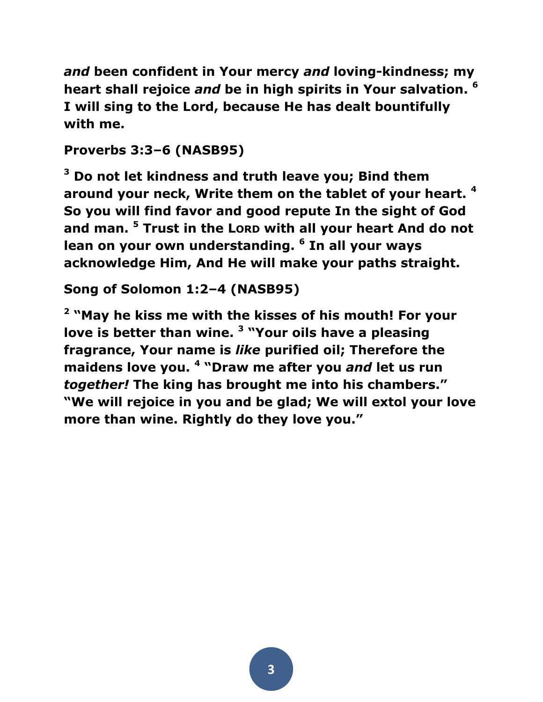*and* **been confident in Your mercy** *and* **loving-kindness; my heart shall rejoice** *and* **be in high spirits in Your salvation. <sup>6</sup> I will sing to the Lord, because He has dealt bountifully with me.** 

## **Proverbs 3:3–6 (NASB95)**

**<sup>3</sup> Do not let kindness and truth leave you; Bind them around your neck, Write them on the tablet of your heart. <sup>4</sup> So you will find favor and good repute In the sight of God and man. <sup>5</sup> Trust in the LORD with all your heart And do not lean on your own understanding. <sup>6</sup> In all your ways acknowledge Him, And He will make your paths straight.** 

# **Song of Solomon 1:2–4 (NASB95)**

**2 "May he kiss me with the kisses of his mouth! For your love is better than wine. <sup>3</sup> "Your oils have a pleasing fragrance, Your name is** *like* **purified oil; Therefore the maidens love you. <sup>4</sup> "Draw me after you** *and* **let us run**  *together!* **The king has brought me into his chambers." "We will rejoice in you and be glad; We will extol your love more than wine. Rightly do they love you."**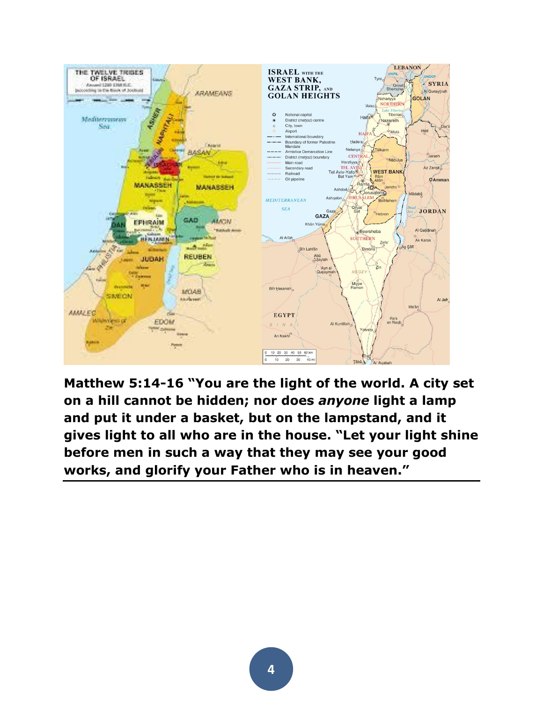

**Matthew 5:14-16 "You are the light of the world. A city set on a hill cannot be hidden; nor does** *anyone* **light a lamp and put it under a basket, but on the lampstand, and it gives light to all who are in the house. "Let your light shine before men in such a way that they may see your good works, and glorify your Father who is in heaven."**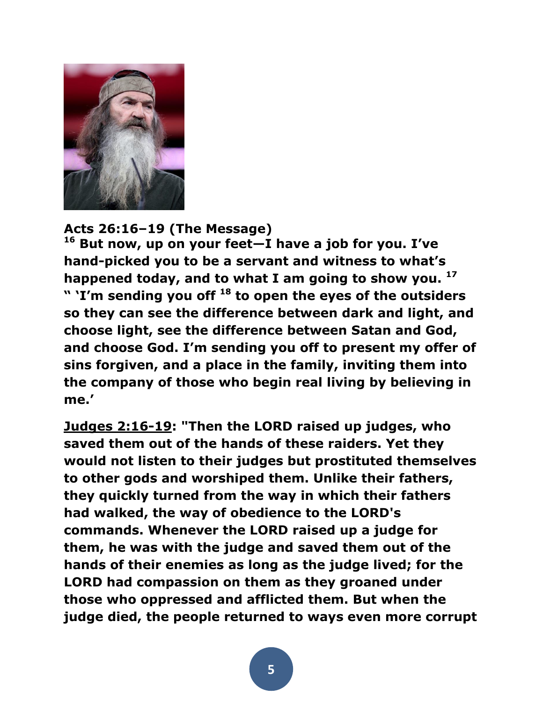

**Acts 26:16–19 (The Message)** 

**<sup>16</sup> But now, up on your feet—I have a job for you. I've hand-picked you to be a servant and witness to what's happened today, and to what I am going to show you. <sup>17</sup> " 'I'm sending you off <sup>18</sup> to open the eyes of the outsiders so they can see the difference between dark and light, and choose light, see the difference between Satan and God, and choose God. I'm sending you off to present my offer of sins forgiven, and a place in the family, inviting them into the company of those who begin real living by believing in me.'** 

**[Judges 2:16-19:](http://biblia.com/bible/esv/Judges%202.16-19) "Then the LORD raised up judges, who saved them out of the hands of these raiders. Yet they would not listen to their judges but prostituted themselves to other gods and worshiped them. Unlike their fathers, they quickly turned from the way in which their fathers had walked, the way of obedience to the LORD's commands. Whenever the LORD raised up a judge for them, he was with the judge and saved them out of the hands of their enemies as long as the judge lived; for the LORD had compassion on them as they groaned under those who oppressed and afflicted them. But when the judge died, the people returned to ways even more corrupt**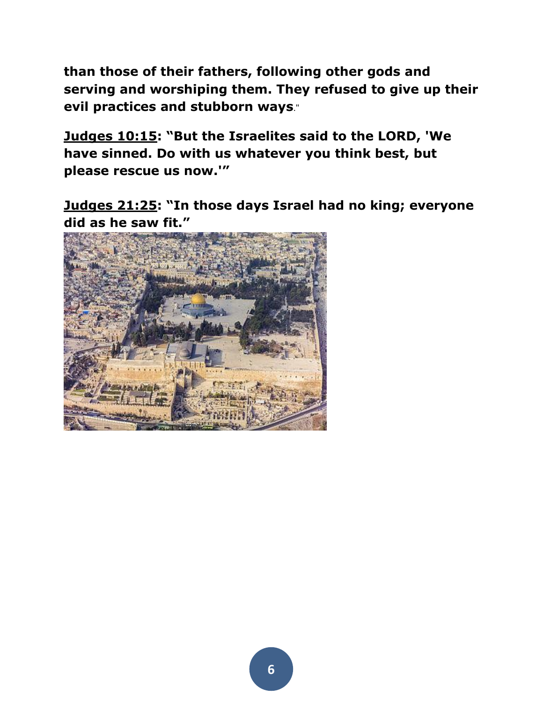**than those of their fathers, following other gods and serving and worshiping them. They refused to give up their evil practices and stubborn ways**."

**[Judges 10:15](http://biblia.com/bible/esv/Judges%2010.15): "But the Israelites said to the LORD, 'We have sinned. Do with us whatever you think best, but please rescue us now.'"**

**[Judges 21:25](http://biblia.com/bible/esv/Judges%2021.25): "In those days Israel had no king; everyone did as he saw fit."**

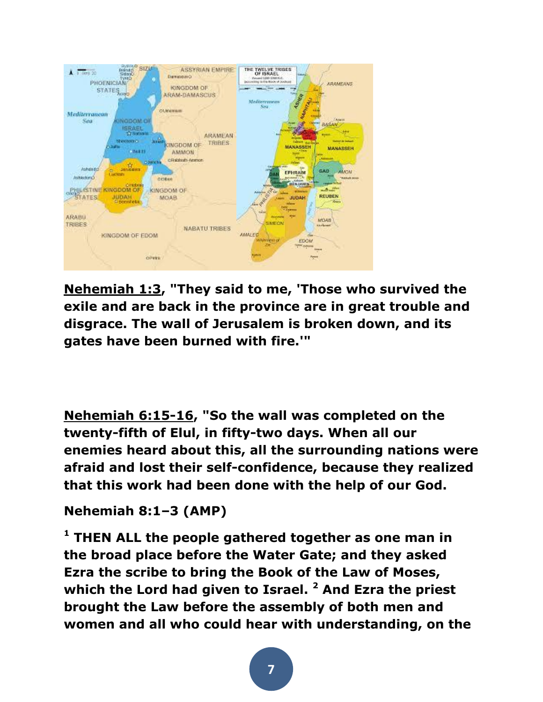

**[Nehemiah 1:3,](http://biblia.com/bible/esv/Nehemiah%201.3) "They said to me, 'Those who survived the exile and are back in the province are in great trouble and disgrace. The wall of Jerusalem is broken down, and its gates have been burned with fire.'"**

**[Nehemiah 6:15-16,](http://biblia.com/bible/esv/Nehemiah%206.15-16) "So the wall was completed on the twenty-fifth of Elul, in fifty-two days. When all our enemies heard about this, all the surrounding nations were afraid and lost their self-confidence, because they realized that this work had been done with the help of our God.**

#### **Nehemiah 8:1–3 (AMP)**

**<sup>1</sup> THEN ALL the people gathered together as one man in the broad place before the Water Gate; and they asked Ezra the scribe to bring the Book of the Law of Moses, which the Lord had given to Israel. <sup>2</sup> And Ezra the priest brought the Law before the assembly of both men and women and all who could hear with understanding, on the**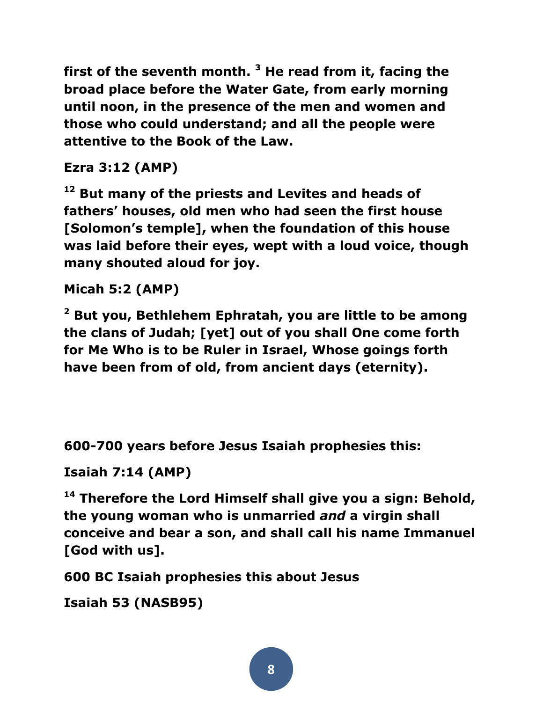**first of the seventh month. <sup>3</sup> He read from it, facing the broad place before the Water Gate, from early morning until noon, in the presence of the men and women and those who could understand; and all the people were attentive to the Book of the Law.** 

### **Ezra 3:12 (AMP)**

**<sup>12</sup> But many of the priests and Levites and heads of fathers' houses, old men who had seen the first house [Solomon's temple], when the foundation of this house was laid before their eyes, wept with a loud voice, though many shouted aloud for joy.**

#### **Micah 5:2 (AMP)**

**<sup>2</sup> But you, Bethlehem Ephratah, you are little to be among the clans of Judah; [yet] out of you shall One come forth for Me Who is to be Ruler in Israel, Whose goings forth have been from of old, from ancient days (eternity).** 

**600-700 years before Jesus Isaiah prophesies this:**

#### **Isaiah 7:14 (AMP)**

**<sup>14</sup> Therefore the Lord Himself shall give you a sign: Behold, the young woman who is unmarried** *and* **a virgin shall conceive and bear a son, and shall call his name Immanuel [God with us].** 

**600 BC Isaiah prophesies this about Jesus**

```
Isaiah 53 (NASB95)
```